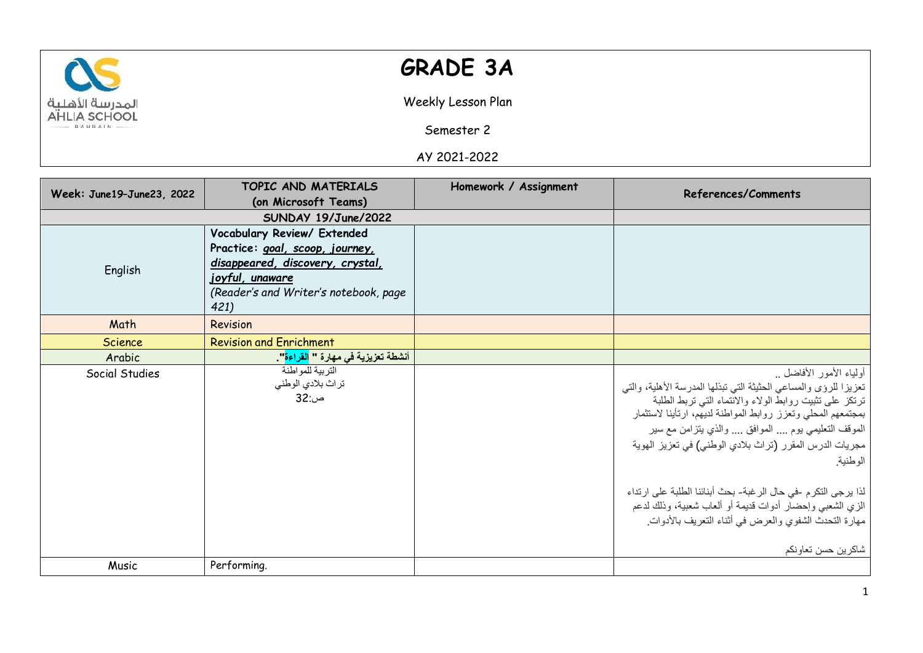

## **GRADE 3A**

Weekly Lesson Plan

Semester 2

AY 2021-2022

| Week: June19-June23, 2022 | TOPIC AND MATERIALS                                            | Homework / Assignment | References/Comments                                                                                                                                                                                                                                                                                                                                                                                                                                                                                                                                             |
|---------------------------|----------------------------------------------------------------|-----------------------|-----------------------------------------------------------------------------------------------------------------------------------------------------------------------------------------------------------------------------------------------------------------------------------------------------------------------------------------------------------------------------------------------------------------------------------------------------------------------------------------------------------------------------------------------------------------|
|                           | (on Microsoft Teams)                                           |                       |                                                                                                                                                                                                                                                                                                                                                                                                                                                                                                                                                                 |
|                           | SUNDAY 19/June/2022                                            |                       |                                                                                                                                                                                                                                                                                                                                                                                                                                                                                                                                                                 |
|                           | Vocabulary Review/ Extended<br>Practice: goal, scoop, journey, |                       |                                                                                                                                                                                                                                                                                                                                                                                                                                                                                                                                                                 |
|                           | disappeared, discovery, crystal,                               |                       |                                                                                                                                                                                                                                                                                                                                                                                                                                                                                                                                                                 |
| English                   | joyful, unaware                                                |                       |                                                                                                                                                                                                                                                                                                                                                                                                                                                                                                                                                                 |
|                           | (Reader's and Writer's notebook, page                          |                       |                                                                                                                                                                                                                                                                                                                                                                                                                                                                                                                                                                 |
|                           | 421)                                                           |                       |                                                                                                                                                                                                                                                                                                                                                                                                                                                                                                                                                                 |
| Math                      | Revision                                                       |                       |                                                                                                                                                                                                                                                                                                                                                                                                                                                                                                                                                                 |
| Science                   | <b>Revision and Enrichment</b>                                 |                       |                                                                                                                                                                                                                                                                                                                                                                                                                                                                                                                                                                 |
| Arabic                    | أنشطة تعزيزية في مهارة " <mark>الفراءة</mark> ".               |                       |                                                                                                                                                                                                                                                                                                                                                                                                                                                                                                                                                                 |
| Social Studies            | التربية للمو اطنة<br>تراث بلادي الوطني<br>ص:32                 |                       | أولياء الأمور الأفاضل<br>تعزيزا للرؤى والمساعى الحثيثة التي تبذلها المدرسة الأهلية، والتي<br>ترتكز على تثبيت روابط الولاء والانتماء التبي تربط الطلبة<br>بمجتمعهم المحلى وتعزز روابط المواطنة لديهم، ارتأينا لاستثمار<br>الموقف التعليمي يوم … الموافق … والذي يتزامن مع سير<br>مجريات الدرس المقرر (تراث بلادي الوطني) في تعزيز الهوية<br>الوطنية.<br>لذا يرجى التكرم -في حال الرغبة- بحث أبنائنا الطلبة على ارتداء<br>الزي الشعبي وإحضار أدوات قديمة أو ألعاب شعبية، وذلك لدعم<br>مهارة التحدث الشفوي والعرض في أثناء التعريف بالأدوات.<br>شاكرين حسن تعاونكم |
| Music                     | Performing.                                                    |                       |                                                                                                                                                                                                                                                                                                                                                                                                                                                                                                                                                                 |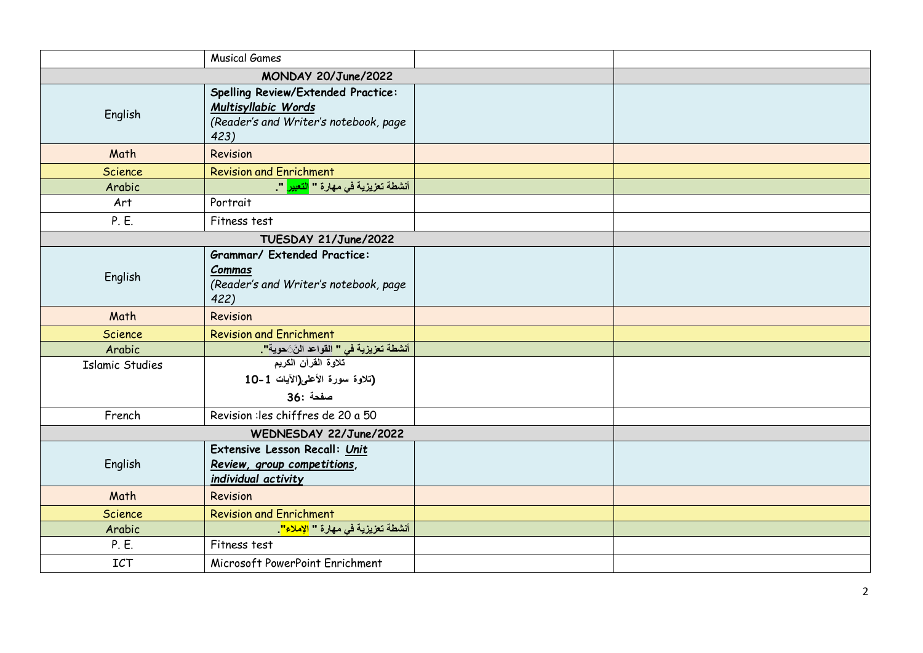|                        | <b>Musical Games</b>                                                                                              |  |  |  |
|------------------------|-------------------------------------------------------------------------------------------------------------------|--|--|--|
| MONDAY 20/June/2022    |                                                                                                                   |  |  |  |
| English                | <b>Spelling Review/Extended Practice:</b><br>Multisyllabic Words<br>(Reader's and Writer's notebook, page<br>423) |  |  |  |
| Math                   | Revision                                                                                                          |  |  |  |
| <b>Science</b>         | <b>Revision and Enrichment</b>                                                                                    |  |  |  |
| Arabic                 | أنشطة تعزيزية في مهارة " <mark>التعبير</mark> "                                                                   |  |  |  |
| Art                    | Portrait                                                                                                          |  |  |  |
| P. E.                  | Fitness test                                                                                                      |  |  |  |
| TUESDAY 21/June/2022   |                                                                                                                   |  |  |  |
| English                | <b>Grammar/ Extended Practice:</b><br>Commas<br>(Reader's and Writer's notebook, page<br>422)                     |  |  |  |
| Math                   | Revision                                                                                                          |  |  |  |
| <b>Science</b>         | <b>Revision and Enrichment</b>                                                                                    |  |  |  |
| Arabic                 | أنشطة تعزيزية في " القواعد النَّ حوية" <mark>.</mark>                                                             |  |  |  |
| <b>Islamic Studies</b> | تلاوة القرآن الكريم<br>(تلاوة سورة الأعلى(الآيات 1-10<br>صفحة :36                                                 |  |  |  |
| French                 | Revision : les chiffres de 20 a 50                                                                                |  |  |  |
| WEDNESDAY 22/June/2022 |                                                                                                                   |  |  |  |
| English                | Extensive Lesson Recall: Unit<br>Review, group competitions,<br>individual activity                               |  |  |  |
| Math                   | Revision                                                                                                          |  |  |  |
| <b>Science</b>         | <b>Revision and Enrichment</b>                                                                                    |  |  |  |
| Arabic                 | أنشطة تعزيزية في مهارة " <mark>الإملاء"</mark> .                                                                  |  |  |  |
| P. E.                  | Fitness test                                                                                                      |  |  |  |
| ICT                    | Microsoft PowerPoint Enrichment                                                                                   |  |  |  |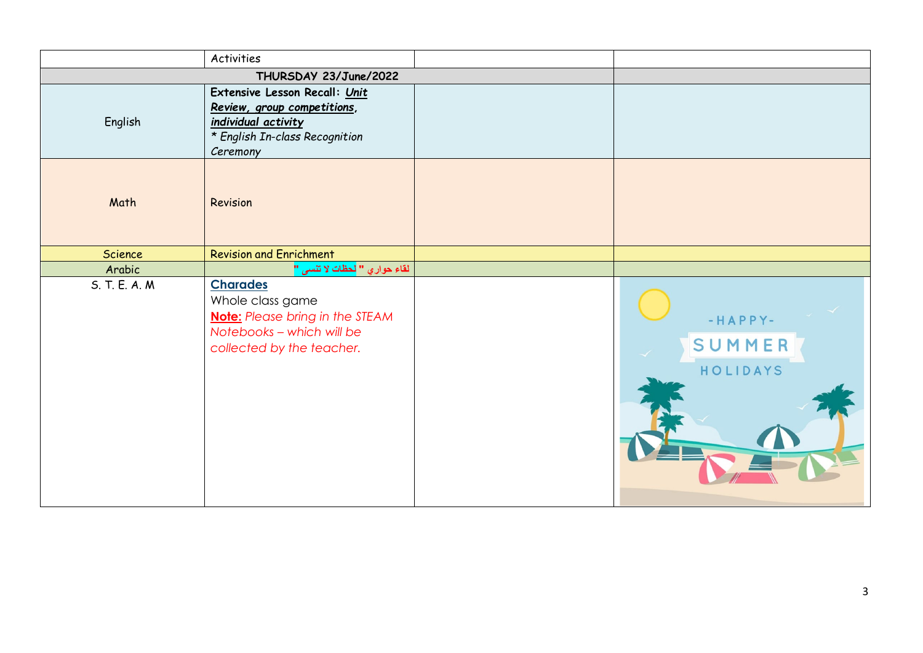|               | <b>Activities</b>                                                                                                                       |                                 |
|---------------|-----------------------------------------------------------------------------------------------------------------------------------------|---------------------------------|
|               | THURSDAY 23/June/2022                                                                                                                   |                                 |
| English       | Extensive Lesson Recall: Unit<br>Review, group competitions,<br>individual activity<br>* English In-class Recognition<br>Ceremony       |                                 |
| Math          | Revision                                                                                                                                |                                 |
| Science       | <b>Revision and Enrichment</b>                                                                                                          |                                 |
| Arabic        | ا لقاء حوار ي " <mark>لحظات لا تنسى "</mark>                                                                                            |                                 |
| S. T. E. A. M | <b>Charades</b><br>Whole class game<br><b>Note:</b> Please bring in the STEAM<br>Notebooks - which will be<br>collected by the teacher. | $-HAPPY-$<br>SUMMER<br>HOLIDAYS |